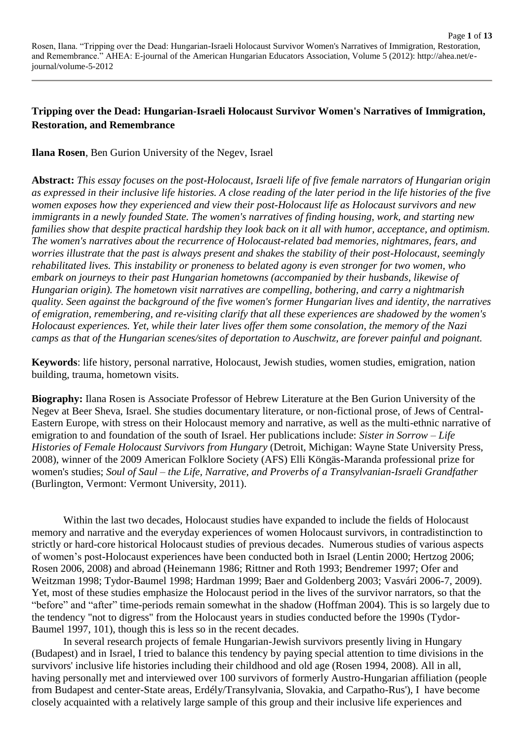# **Tripping over the Dead: Hungarian-Israeli Holocaust Survivor Women's Narratives of Immigration, Restoration, and Remembrance**

**Ilana Rosen**, Ben Gurion University of the Negev, Israel

**Abstract:** *This essay focuses on the post-Holocaust, Israeli life of five female narrators of Hungarian origin as expressed in their inclusive life histories. A close reading of the later period in the life histories of the five women exposes how they experienced and view their post-Holocaust life as Holocaust survivors and new immigrants in a newly founded State. The women's narratives of finding housing, work, and starting new families show that despite practical hardship they look back on it all with humor, acceptance, and optimism. The women's narratives about the recurrence of Holocaust-related bad memories, nightmares, fears, and worries illustrate that the past is always present and shakes the stability of their post-Holocaust, seemingly rehabilitated lives. This instability or proneness to belated agony is even stronger for two women, who embark on journeys to their past Hungarian hometowns (accompanied by their husbands, likewise of Hungarian origin). The hometown visit narratives are compelling, bothering, and carry a nightmarish quality. Seen against the background of the five women's former Hungarian lives and identity, the narratives of emigration, remembering, and re-visiting clarify that all these experiences are shadowed by the women's Holocaust experiences. Yet, while their later lives offer them some consolation, the memory of the Nazi camps as that of the Hungarian scenes/sites of deportation to Auschwitz, are forever painful and poignant.*

**Keywords**: life history, personal narrative, Holocaust, Jewish studies, women studies, emigration, nation building, trauma, hometown visits.

**Biography:** Ilana Rosen is Associate Professor of Hebrew Literature at the Ben Gurion University of the Negev at Beer Sheva, Israel. She studies documentary literature, or non-fictional prose, of Jews of Central-Eastern Europe, with stress on their Holocaust memory and narrative, as well as the multi-ethnic narrative of emigration to and foundation of the south of Israel. Her publications include: *Sister in Sorrow – Life Histories of Female Holocaust Survivors from Hungary* (Detroit, Michigan: Wayne State University Press, 2008), winner of the 2009 American Folklore Society (AFS) Elli Köngäs-Maranda professional prize for women's studies; *Soul of Saul – the Life, Narrative, and Proverbs of a Transylvanian-Israeli Grandfather* (Burlington, Vermont: Vermont University, 2011).

Within the last two decades, Holocaust studies have expanded to include the fields of Holocaust memory and narrative and the everyday experiences of women Holocaust survivors, in contradistinction to strictly or hard-core historical Holocaust studies of previous decades. Numerous studies of various aspects of women's post-Holocaust experiences have been conducted both in Israel (Lentin 2000; Hertzog 2006; Rosen 2006, 2008) and abroad (Heinemann 1986; Rittner and Roth 1993; Bendremer 1997; Ofer and Weitzman 1998; Tydor-Baumel 1998; Hardman 1999; Baer and Goldenberg 2003; Vasvári 2006-7, 2009). Yet, most of these studies emphasize the Holocaust period in the lives of the survivor narrators, so that the "before" and "after" time-periods remain somewhat in the shadow (Hoffman 2004). This is so largely due to the tendency "not to digress" from the Holocaust years in studies conducted before the 1990s (Tydor-Baumel 1997, 101), though this is less so in the recent decades.

In several research projects of female Hungarian-Jewish survivors presently living in Hungary (Budapest) and in Israel, I tried to balance this tendency by paying special attention to time divisions in the survivors' inclusive life histories including their childhood and old age (Rosen 1994, 2008). All in all, having personally met and interviewed over 100 survivors of formerly Austro-Hungarian affiliation (people from Budapest and center-State areas, Erdély/Transylvania, Slovakia, and Carpatho-Rus'), I have become closely acquainted with a relatively large sample of this group and their inclusive life experiences and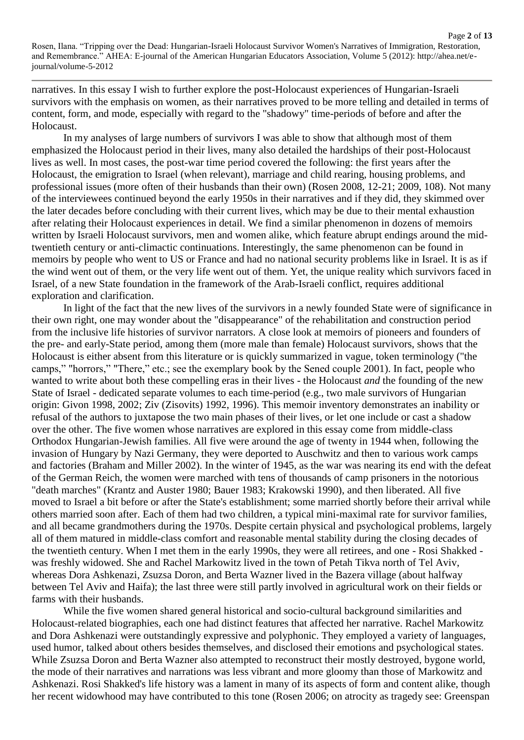Page **2** of **13**

narratives. In this essay I wish to further explore the post-Holocaust experiences of Hungarian-Israeli survivors with the emphasis on women, as their narratives proved to be more telling and detailed in terms of content, form, and mode, especially with regard to the "shadowy" time-periods of before and after the Holocaust.

In my analyses of large numbers of survivors I was able to show that although most of them emphasized the Holocaust period in their lives, many also detailed the hardships of their post-Holocaust lives as well. In most cases, the post-war time period covered the following: the first years after the Holocaust, the emigration to Israel (when relevant), marriage and child rearing, housing problems, and professional issues (more often of their husbands than their own) (Rosen 2008, 12-21; 2009, 108). Not many of the interviewees continued beyond the early 1950s in their narratives and if they did, they skimmed over the later decades before concluding with their current lives, which may be due to their mental exhaustion after relating their Holocaust experiences in detail. We find a similar phenomenon in dozens of memoirs written by Israeli Holocaust survivors, men and women alike, which feature abrupt endings around the midtwentieth century or anti-climactic continuations. Interestingly, the same phenomenon can be found in memoirs by people who went to US or France and had no national security problems like in Israel. It is as if the wind went out of them, or the very life went out of them. Yet, the unique reality which survivors faced in Israel, of a new State foundation in the framework of the Arab-Israeli conflict, requires additional exploration and clarification.

In light of the fact that the new lives of the survivors in a newly founded State were of significance in their own right, one may wonder about the "disappearance" of the rehabilitation and construction period from the inclusive life histories of survivor narrators. A close look at memoirs of pioneers and founders of the pre- and early-State period, among them (more male than female) Holocaust survivors, shows that the Holocaust is either absent from this literature or is quickly summarized in vague, token terminology ("the camps," "horrors," "There," etc.; see the exemplary book by the Sened couple 2001). In fact, people who wanted to write about both these compelling eras in their lives - the Holocaust *and* the founding of the new State of Israel - dedicated separate volumes to each time-period (e.g., two male survivors of Hungarian origin: Givon 1998, 2002; Ziv (Zisovits) 1992, 1996). This memoir inventory demonstrates an inability or refusal of the authors to juxtapose the two main phases of their lives, or let one include or cast a shadow over the other. The five women whose narratives are explored in this essay come from middle-class Orthodox Hungarian-Jewish families. All five were around the age of twenty in 1944 when, following the invasion of Hungary by Nazi Germany, they were deported to Auschwitz and then to various work camps and factories (Braham and Miller 2002). In the winter of 1945, as the war was nearing its end with the defeat of the German Reich, the women were marched with tens of thousands of camp prisoners in the notorious "death marches" (Krantz and Auster 1980; Bauer 1983; Krakowski 1990), and then liberated. All five moved to Israel a bit before or after the State's establishment; some married shortly before their arrival while others married soon after. Each of them had two children, a typical mini-maximal rate for survivor families, and all became grandmothers during the 1970s. Despite certain physical and psychological problems, largely all of them matured in middle-class comfort and reasonable mental stability during the closing decades of the twentieth century. When I met them in the early 1990s, they were all retirees, and one - Rosi Shakked was freshly widowed. She and Rachel Markowitz lived in the town of Petah Tikva north of Tel Aviv, whereas Dora Ashkenazi, Zsuzsa Doron, and Berta Wazner lived in the Bazera village (about halfway between Tel Aviv and Haifa); the last three were still partly involved in agricultural work on their fields or farms with their husbands.

While the five women shared general historical and socio-cultural background similarities and Holocaust-related biographies, each one had distinct features that affected her narrative. Rachel Markowitz and Dora Ashkenazi were outstandingly expressive and polyphonic. They employed a variety of languages, used humor, talked about others besides themselves, and disclosed their emotions and psychological states. While Zsuzsa Doron and Berta Wazner also attempted to reconstruct their mostly destroyed, bygone world, the mode of their narratives and narrations was less vibrant and more gloomy than those of Markowitz and Ashkenazi. Rosi Shakked's life history was a lament in many of its aspects of form and content alike, though her recent widowhood may have contributed to this tone (Rosen 2006; on atrocity as tragedy see: Greenspan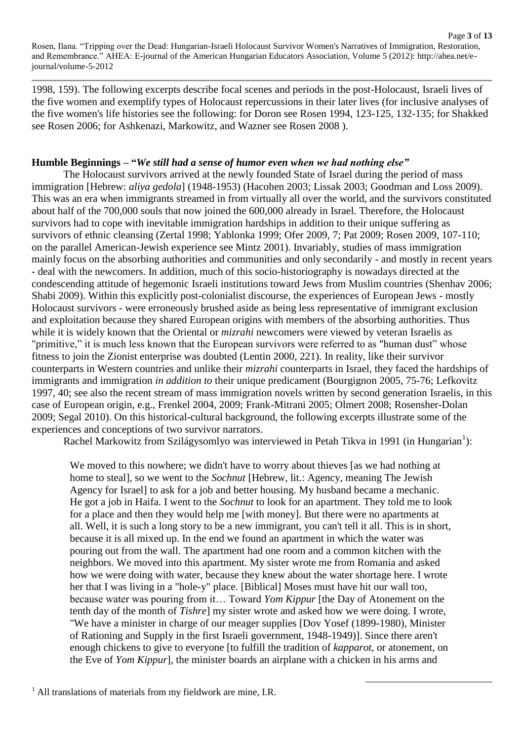1998, 159). The following excerpts describe focal scenes and periods in the post-Holocaust, Israeli lives of the five women and exemplify types of Holocaust repercussions in their later lives (for inclusive analyses of the five women's life histories see the following: for Doron see Rosen 1994, 123-125, 132-135; for Shakked see Rosen 2006; for Ashkenazi, Markowitz, and Wazner see Rosen 2008 ).

#### **Humble Beginnings – "***We still had a sense of humor even when we had nothing else"*

The Holocaust survivors arrived at the newly founded State of Israel during the period of mass immigration [Hebrew: *aliya gedola*] (1948-1953) (Hacohen 2003; Lissak 2003; Goodman and Loss 2009). This was an era when immigrants streamed in from virtually all over the world, and the survivors constituted about half of the 700,000 souls that now joined the 600,000 already in Israel. Therefore, the Holocaust survivors had to cope with inevitable immigration hardships in addition to their unique suffering as survivors of ethnic cleansing (Zertal 1998; Yablonka 1999; Ofer 2009, 7; Pat 2009; Rosen 2009, 107-110; on the parallel American-Jewish experience see Mintz 2001). Invariably, studies of mass immigration mainly focus on the absorbing authorities and communities and only secondarily - and mostly in recent years - deal with the newcomers. In addition, much of this socio-historiography is nowadays directed at the condescending attitude of hegemonic Israeli institutions toward Jews from Muslim countries (Shenhav 2006; Shabi 2009). Within this explicitly post-colonialist discourse, the experiences of European Jews - mostly Holocaust survivors - were erroneously brushed aside as being less representative of immigrant exclusion and exploitation because they shared European origins with members of the absorbing authorities. Thus while it is widely known that the Oriental or *mizrahi* newcomers were viewed by veteran Israelis as "primitive," it is much less known that the European survivors were referred to as "human dust" whose fitness to join the Zionist enterprise was doubted (Lentin 2000, 221). In reality, like their survivor counterparts in Western countries and unlike their *mizrahi* counterparts in Israel, they faced the hardships of immigrants and immigration *in addition to* their unique predicament (Bourgignon 2005, 75-76; Lefkovitz 1997, 40; see also the recent stream of mass immigration novels written by second generation Israelis, in this case of European origin, e.g., Frenkel 2004, 2009; Frank-Mitrani 2005; Olmert 2008; Rosensher-Dolan 2009; Segal 2010). On this historical-cultural background, the following excerpts illustrate some of the experiences and conceptions of two survivor narrators.

Rachel Markowitz from Szilágysomlyo was interviewed in Petah Tikva in 1991 (in Hungarian<sup>1</sup>):

We moved to this nowhere; we didn't have to worry about thieves [as we had nothing at home to steal], so we went to the *Sochnut* [Hebrew, lit.: Agency, meaning The Jewish Agency for Israel] to ask for a job and better housing. My husband became a mechanic. He got a job in Haifa. I went to the *Sochnut* to look for an apartment. They told me to look for a place and then they would help me [with money]. But there were no apartments at all. Well, it is such a long story to be a new immigrant, you can't tell it all. This is in short, because it is all mixed up. In the end we found an apartment in which the water was pouring out from the wall. The apartment had one room and a common kitchen with the neighbors. We moved into this apartment. My sister wrote me from Romania and asked how we were doing with water, because they knew about the water shortage here. I wrote her that I was living in a "hole-y" place. [Biblical] Moses must have hit our wall too, because water was pouring from it… Toward *Yom Kippur* [the Day of Atonement on the tenth day of the month of *Tishre*] my sister wrote and asked how we were doing. I wrote, "We have a minister in charge of our meager supplies [Dov Yosef (1899-1980), Minister of Rationing and Supply in the first Israeli government, 1948-1949)]. Since there aren't enough chickens to give to everyone [to fulfill the tradition of *kapparot*, or atonement, on the Eve of *Yom Kippur*], the minister boards an airplane with a chicken in his arms and

1

 $<sup>1</sup>$  All translations of materials from my fieldwork are mine, I.R.</sup>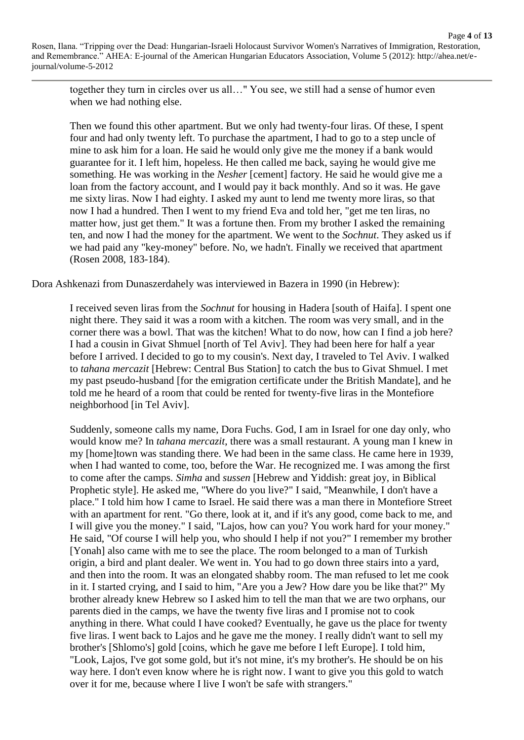together they turn in circles over us all…" You see, we still had a sense of humor even when we had nothing else.

Then we found this other apartment. But we only had twenty-four liras. Of these, I spent four and had only twenty left. To purchase the apartment, I had to go to a step uncle of mine to ask him for a loan. He said he would only give me the money if a bank would guarantee for it. I left him, hopeless. He then called me back, saying he would give me something. He was working in the *Nesher* [cement] factory. He said he would give me a loan from the factory account, and I would pay it back monthly. And so it was. He gave me sixty liras. Now I had eighty. I asked my aunt to lend me twenty more liras, so that now I had a hundred. Then I went to my friend Eva and told her, "get me ten liras, no matter how, just get them." It was a fortune then. From my brother I asked the remaining ten, and now I had the money for the apartment. We went to the *Sochnut*. They asked us if we had paid any "key-money" before. No, we hadn't. Finally we received that apartment (Rosen 2008, 183-184).

Dora Ashkenazi from Dunaszerdahely was interviewed in Bazera in 1990 (in Hebrew):

I received seven liras from the *Sochnut* for housing in Hadera [south of Haifa]. I spent one night there. They said it was a room with a kitchen. The room was very small, and in the corner there was a bowl. That was the kitchen! What to do now, how can I find a job here? I had a cousin in Givat Shmuel [north of Tel Aviv]. They had been here for half a year before I arrived. I decided to go to my cousin's. Next day, I traveled to Tel Aviv. I walked to *tahana mercazit* [Hebrew: Central Bus Station] to catch the bus to Givat Shmuel. I met my past pseudo-husband [for the emigration certificate under the British Mandate], and he told me he heard of a room that could be rented for twenty-five liras in the Montefiore neighborhood [in Tel Aviv].

Suddenly, someone calls my name, Dora Fuchs. God, I am in Israel for one day only, who would know me? In *tahana mercazit*, there was a small restaurant. A young man I knew in my [home]town was standing there. We had been in the same class. He came here in 1939, when I had wanted to come, too, before the War. He recognized me. I was among the first to come after the camps. *Simha* and *sussen* [Hebrew and Yiddish: great joy, in Biblical Prophetic style]. He asked me, "Where do you live?" I said, "Meanwhile, I don't have a place." I told him how I came to Israel. He said there was a man there in Montefiore Street with an apartment for rent. "Go there, look at it, and if it's any good, come back to me, and I will give you the money." I said, "Lajos, how can you? You work hard for your money." He said, "Of course I will help you, who should I help if not you?" I remember my brother [Yonah] also came with me to see the place. The room belonged to a man of Turkish origin, a bird and plant dealer. We went in. You had to go down three stairs into a yard, and then into the room. It was an elongated shabby room. The man refused to let me cook in it. I started crying, and I said to him, "Are you a Jew? How dare you be like that?" My brother already knew Hebrew so I asked him to tell the man that we are two orphans, our parents died in the camps, we have the twenty five liras and I promise not to cook anything in there. What could I have cooked? Eventually, he gave us the place for twenty five liras. I went back to Lajos and he gave me the money. I really didn't want to sell my brother's [Shlomo's] gold [coins, which he gave me before I left Europe]. I told him, "Look, Lajos, I've got some gold, but it's not mine, it's my brother's. He should be on his way here. I don't even know where he is right now. I want to give you this gold to watch over it for me, because where I live I won't be safe with strangers."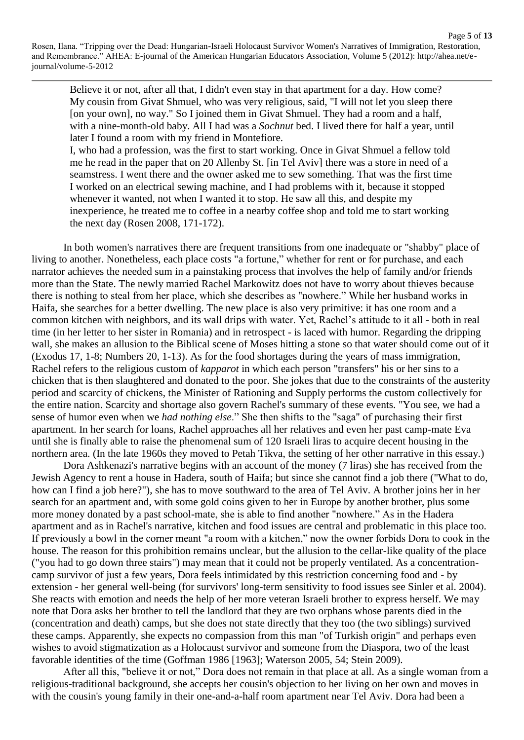Page **5** of **13**

Believe it or not, after all that, I didn't even stay in that apartment for a day. How come? My cousin from Givat Shmuel, who was very religious, said, "I will not let you sleep there [on your own], no way." So I joined them in Givat Shmuel. They had a room and a half, with a nine-month-old baby. All I had was a *Sochnut* bed. I lived there for half a year, until later I found a room with my friend in Montefiore.

I, who had a profession, was the first to start working. Once in Givat Shmuel a fellow told me he read in the paper that on 20 Allenby St. [in Tel Aviv] there was a store in need of a seamstress. I went there and the owner asked me to sew something. That was the first time I worked on an electrical sewing machine, and I had problems with it, because it stopped whenever it wanted, not when I wanted it to stop. He saw all this, and despite my inexperience, he treated me to coffee in a nearby coffee shop and told me to start working the next day (Rosen 2008, 171-172).

In both women's narratives there are frequent transitions from one inadequate or "shabby" place of living to another. Nonetheless, each place costs "a fortune," whether for rent or for purchase, and each narrator achieves the needed sum in a painstaking process that involves the help of family and/or friends more than the State. The newly married Rachel Markowitz does not have to worry about thieves because there is nothing to steal from her place, which she describes as "nowhere." While her husband works in Haifa, she searches for a better dwelling. The new place is also very primitive: it has one room and a common kitchen with neighbors, and its wall drips with water. Yet, Rachel's attitude to it all - both in real time (in her letter to her sister in Romania) and in retrospect - is laced with humor. Regarding the dripping wall, she makes an allusion to the Biblical scene of Moses hitting a stone so that water should come out of it (Exodus 17, 1-8; Numbers 20, 1-13). As for the food shortages during the years of mass immigration, Rachel refers to the religious custom of *kapparot* in which each person "transfers" his or her sins to a chicken that is then slaughtered and donated to the poor. She jokes that due to the constraints of the austerity period and scarcity of chickens, the Minister of Rationing and Supply performs the custom collectively for the entire nation. Scarcity and shortage also govern Rachel's summary of these events. "You see, we had a sense of humor even when we *had nothing else*." She then shifts to the "saga" of purchasing their first apartment. In her search for loans, Rachel approaches all her relatives and even her past camp-mate Eva until she is finally able to raise the phenomenal sum of 120 Israeli liras to acquire decent housing in the northern area. (In the late 1960s they moved to Petah Tikva, the setting of her other narrative in this essay.)

Dora Ashkenazi's narrative begins with an account of the money (7 liras) she has received from the Jewish Agency to rent a house in Hadera, south of Haifa; but since she cannot find a job there ("What to do, how can I find a job here?"), she has to move southward to the area of Tel Aviv. A brother joins her in her search for an apartment and, with some gold coins given to her in Europe by another brother, plus some more money donated by a past school-mate, she is able to find another "nowhere." As in the Hadera apartment and as in Rachel's narrative, kitchen and food issues are central and problematic in this place too. If previously a bowl in the corner meant "a room with a kitchen," now the owner forbids Dora to cook in the house. The reason for this prohibition remains unclear, but the allusion to the cellar-like quality of the place ("you had to go down three stairs") may mean that it could not be properly ventilated. As a concentrationcamp survivor of just a few years, Dora feels intimidated by this restriction concerning food and - by extension - her general well-being (for survivors' long-term sensitivity to food issues see Sinler et al. 2004). She reacts with emotion and needs the help of her more veteran Israeli brother to express herself. We may note that Dora asks her brother to tell the landlord that they are two orphans whose parents died in the (concentration and death) camps, but she does not state directly that they too (the two siblings) survived these camps. Apparently, she expects no compassion from this man "of Turkish origin" and perhaps even wishes to avoid stigmatization as a Holocaust survivor and someone from the Diaspora, two of the least favorable identities of the time (Goffman 1986 [1963]; Waterson 2005, 54; Stein 2009).

After all this, "believe it or not," Dora does not remain in that place at all. As a single woman from a religious-traditional background, she accepts her cousin's objection to her living on her own and moves in with the cousin's young family in their one-and-a-half room apartment near Tel Aviv. Dora had been a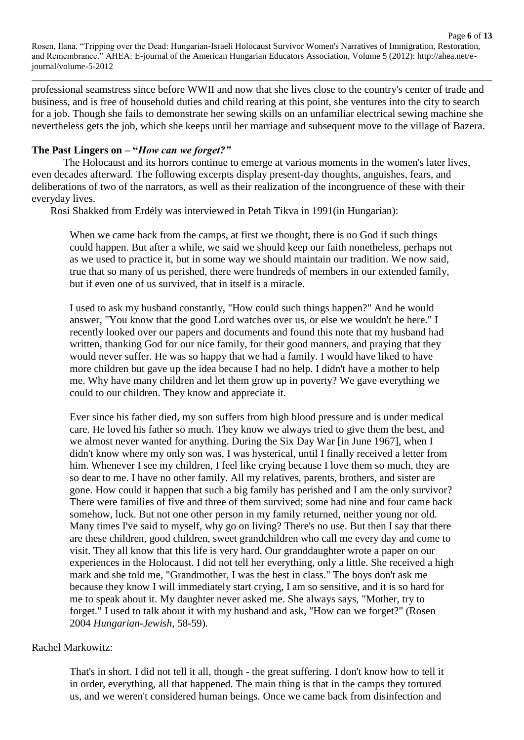Page **6** of **13**

professional seamstress since before WWII and now that she lives close to the country's center of trade and business, and is free of household duties and child rearing at this point, she ventures into the city to search for a job. Though she fails to demonstrate her sewing skills on an unfamiliar electrical sewing machine she nevertheless gets the job, which she keeps until her marriage and subsequent move to the village of Bazera.

### **The Past Lingers on – "***How can we forget?"*

The Holocaust and its horrors continue to emerge at various moments in the women's later lives, even decades afterward. The following excerpts display present-day thoughts, anguishes, fears, and deliberations of two of the narrators, as well as their realization of the incongruence of these with their everyday lives.

Rosi Shakked from Erdély was interviewed in Petah Tikva in 1991(in Hungarian):

When we came back from the camps, at first we thought, there is no God if such things could happen. But after a while, we said we should keep our faith nonetheless, perhaps not as we used to practice it, but in some way we should maintain our tradition. We now said, true that so many of us perished, there were hundreds of members in our extended family, but if even one of us survived, that in itself is a miracle.

I used to ask my husband constantly, "How could such things happen?" And he would answer, "You know that the good Lord watches over us, or else we wouldn't be here." I recently looked over our papers and documents and found this note that my husband had written, thanking God for our nice family, for their good manners, and praying that they would never suffer. He was so happy that we had a family. I would have liked to have more children but gave up the idea because I had no help. I didn't have a mother to help me. Why have many children and let them grow up in poverty? We gave everything we could to our children. They know and appreciate it.

Ever since his father died, my son suffers from high blood pressure and is under medical care. He loved his father so much. They know we always tried to give them the best, and we almost never wanted for anything. During the Six Day War [in June 1967], when I didn't know where my only son was, I was hysterical, until I finally received a letter from him. Whenever I see my children, I feel like crying because I love them so much, they are so dear to me. I have no other family. All my relatives, parents, brothers, and sister are gone. How could it happen that such a big family has perished and I am the only survivor? There were families of five and three of them survived; some had nine and four came back somehow, luck. But not one other person in my family returned, neither young nor old. Many times I've said to myself, why go on living? There's no use. But then I say that there are these children, good children, sweet grandchildren who call me every day and come to visit. They all know that this life is very hard. Our granddaughter wrote a paper on our experiences in the Holocaust. I did not tell her everything, only a little. She received a high mark and she told me, "Grandmother, I was the best in class." The boys don't ask me because they know I will immediately start crying, I am so sensitive, and it is so hard for me to speak about it. My daughter never asked me. She always says, "Mother, try to forget." I used to talk about it with my husband and ask, "How can we forget?" (Rosen 2004 *Hungarian-Jewish*, 58-59).

### Rachel Markowitz:

That's in short. I did not tell it all, though - the great suffering. I don't know how to tell it in order, everything, all that happened. The main thing is that in the camps they tortured us, and we weren't considered human beings. Once we came back from disinfection and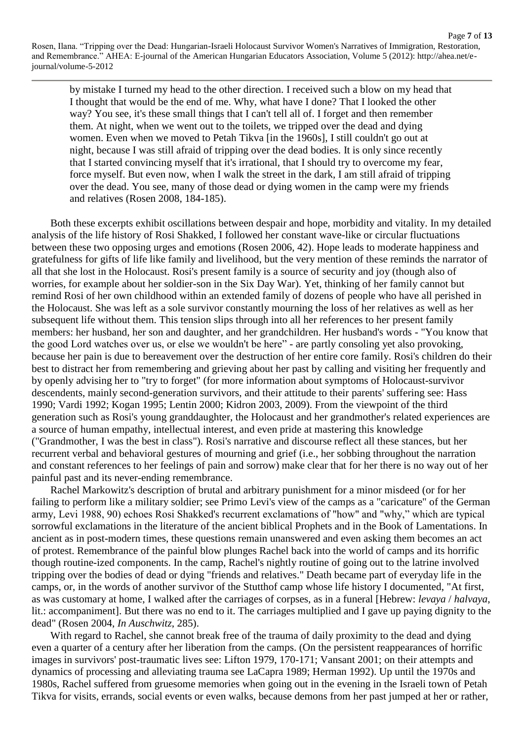Page **7** of **13**

by mistake I turned my head to the other direction. I received such a blow on my head that I thought that would be the end of me. Why, what have I done? That I looked the other way? You see, it's these small things that I can't tell all of. I forget and then remember them. At night, when we went out to the toilets, we tripped over the dead and dying women. Even when we moved to Petah Tikva [in the 1960s], I still couldn't go out at night, because I was still afraid of tripping over the dead bodies. It is only since recently that I started convincing myself that it's irrational, that I should try to overcome my fear, force myself. But even now, when I walk the street in the dark, I am still afraid of tripping over the dead. You see, many of those dead or dying women in the camp were my friends and relatives (Rosen 2008, 184-185).

Both these excerpts exhibit oscillations between despair and hope, morbidity and vitality. In my detailed analysis of the life history of Rosi Shakked, I followed her constant wave-like or circular fluctuations between these two opposing urges and emotions (Rosen 2006, 42). Hope leads to moderate happiness and gratefulness for gifts of life like family and livelihood, but the very mention of these reminds the narrator of all that she lost in the Holocaust. Rosi's present family is a source of security and joy (though also of worries, for example about her soldier-son in the Six Day War). Yet, thinking of her family cannot but remind Rosi of her own childhood within an extended family of dozens of people who have all perished in the Holocaust. She was left as a sole survivor constantly mourning the loss of her relatives as well as her subsequent life without them. This tension slips through into all her references to her present family members: her husband, her son and daughter, and her grandchildren. Her husband's words - "You know that the good Lord watches over us, or else we wouldn't be here" - are partly consoling yet also provoking, because her pain is due to bereavement over the destruction of her entire core family. Rosi's children do their best to distract her from remembering and grieving about her past by calling and visiting her frequently and by openly advising her to "try to forget" (for more information about symptoms of Holocaust-survivor descendents, mainly second-generation survivors, and their attitude to their parents' suffering see: Hass 1990; Vardi 1992; Kogan 1995; Lentin 2000; Kidron 2003, 2009). From the viewpoint of the third generation such as Rosi's young granddaughter, the Holocaust and her grandmother's related experiences are a source of human empathy, intellectual interest, and even pride at mastering this knowledge ("Grandmother, I was the best in class"). Rosi's narrative and discourse reflect all these stances, but her recurrent verbal and behavioral gestures of mourning and grief (i.e., her sobbing throughout the narration and constant references to her feelings of pain and sorrow) make clear that for her there is no way out of her painful past and its never-ending remembrance.

Rachel Markowitz's description of brutal and arbitrary punishment for a minor misdeed (or for her failing to perform like a military soldier; see Primo Levi's view of the camps as a "caricature" of the German army, Levi 1988, 90) echoes Rosi Shakked's recurrent exclamations of "how" and "why," which are typical sorrowful exclamations in the literature of the ancient biblical Prophets and in the Book of Lamentations. In ancient as in post-modern times, these questions remain unanswered and even asking them becomes an act of protest. Remembrance of the painful blow plunges Rachel back into the world of camps and its horrific though routine-ized components. In the camp, Rachel's nightly routine of going out to the latrine involved tripping over the bodies of dead or dying "friends and relatives." Death became part of everyday life in the camps, or, in the words of another survivor of the Stutthof camp whose life history I documented, "At first, as was customary at home, I walked after the carriages of corpses, as in a funeral [Hebrew: *levaya* / *halvaya*, lit.: accompaniment]. But there was no end to it. The carriages multiplied and I gave up paying dignity to the dead" (Rosen 2004, *In Auschwitz*, 285).

With regard to Rachel, she cannot break free of the trauma of daily proximity to the dead and dying even a quarter of a century after her liberation from the camps. (On the persistent reappearances of horrific images in survivors' post-traumatic lives see: Lifton 1979, 170-171; Vansant 2001; on their attempts and dynamics of processing and alleviating trauma see LaCapra 1989; Herman 1992). Up until the 1970s and 1980s, Rachel suffered from gruesome memories when going out in the evening in the Israeli town of Petah Tikva for visits, errands, social events or even walks, because demons from her past jumped at her or rather,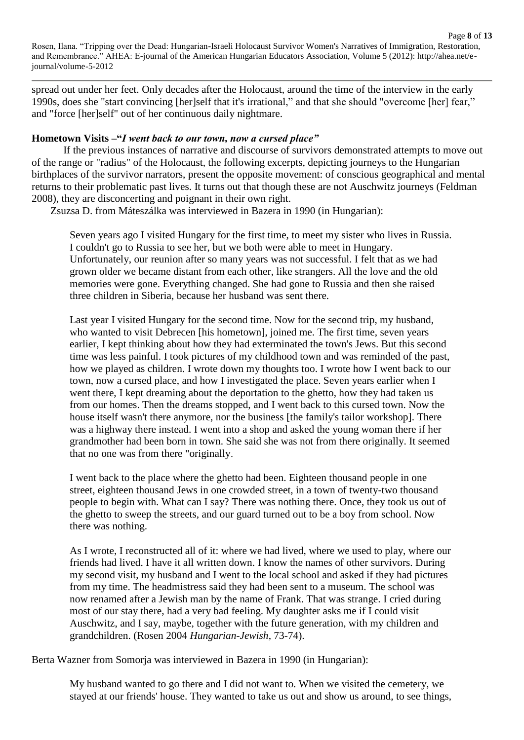spread out under her feet. Only decades after the Holocaust, around the time of the interview in the early 1990s, does she "start convincing [her]self that it's irrational," and that she should "overcome [her] fear," and "force [her]self" out of her continuous daily nightmare.

#### **Hometown Visits –"***I went back to our town, now a cursed place"*

If the previous instances of narrative and discourse of survivors demonstrated attempts to move out of the range or "radius" of the Holocaust, the following excerpts, depicting journeys to the Hungarian birthplaces of the survivor narrators, present the opposite movement: of conscious geographical and mental returns to their problematic past lives. It turns out that though these are not Auschwitz journeys (Feldman 2008), they are disconcerting and poignant in their own right.

Zsuzsa D. from Máteszálka was interviewed in Bazera in 1990 (in Hungarian):

Seven years ago I visited Hungary for the first time, to meet my sister who lives in Russia. I couldn't go to Russia to see her, but we both were able to meet in Hungary. Unfortunately, our reunion after so many years was not successful. I felt that as we had grown older we became distant from each other, like strangers. All the love and the old memories were gone. Everything changed. She had gone to Russia and then she raised three children in Siberia, because her husband was sent there.

Last year I visited Hungary for the second time. Now for the second trip, my husband, who wanted to visit Debrecen [his hometown], joined me. The first time, seven years earlier, I kept thinking about how they had exterminated the town's Jews. But this second time was less painful. I took pictures of my childhood town and was reminded of the past, how we played as children. I wrote down my thoughts too. I wrote how I went back to our town, now a cursed place, and how I investigated the place. Seven years earlier when I went there, I kept dreaming about the deportation to the ghetto, how they had taken us from our homes. Then the dreams stopped, and I went back to this cursed town. Now the house itself wasn't there anymore, nor the business [the family's tailor workshop]. There was a highway there instead. I went into a shop and asked the young woman there if her grandmother had been born in town. She said she was not from there originally. It seemed that no one was from there "originally

I went back to the place where the ghetto had been. Eighteen thousand people in one street, eighteen thousand Jews in one crowded street, in a town of twenty-two thousand people to begin with. What can I say? There was nothing there. Once, they took us out of the ghetto to sweep the streets, and our guard turned out to be a boy from school. Now there was nothing.

As I wrote, I reconstructed all of it: where we had lived, where we used to play, where our friends had lived. I have it all written down. I know the names of other survivors. During my second visit, my husband and I went to the local school and asked if they had pictures from my time. The headmistress said they had been sent to a museum. The school was now renamed after a Jewish man by the name of Frank. That was strange. I cried during most of our stay there, had a very bad feeling. My daughter asks me if I could visit Auschwitz, and I say, maybe, together with the future generation, with my children and grandchildren. (Rosen 2004 *Hungarian-Jewish*, 73-74).

Berta Wazner from Somorja was interviewed in Bazera in 1990 (in Hungarian):

My husband wanted to go there and I did not want to. When we visited the cemetery, we stayed at our friends' house. They wanted to take us out and show us around, to see things,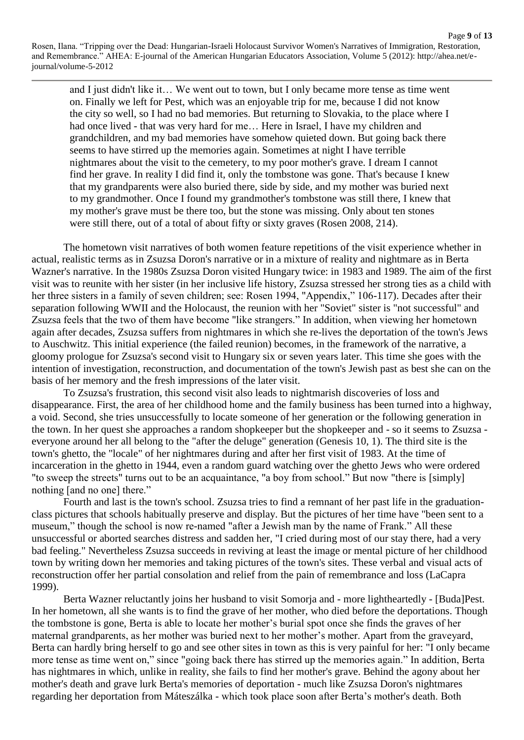Page **9** of **13**

and I just didn't like it… We went out to town, but I only became more tense as time went on. Finally we left for Pest, which was an enjoyable trip for me, because I did not know the city so well, so I had no bad memories. But returning to Slovakia, to the place where I had once lived - that was very hard for me... Here in Israel, I have my children and grandchildren, and my bad memories have somehow quieted down. But going back there seems to have stirred up the memories again. Sometimes at night I have terrible nightmares about the visit to the cemetery, to my poor mother's grave. I dream I cannot find her grave. In reality I did find it, only the tombstone was gone. That's because I knew that my grandparents were also buried there, side by side, and my mother was buried next to my grandmother. Once I found my grandmother's tombstone was still there, I knew that my mother's grave must be there too, but the stone was missing. Only about ten stones were still there, out of a total of about fifty or sixty graves (Rosen 2008, 214).

The hometown visit narratives of both women feature repetitions of the visit experience whether in actual, realistic terms as in Zsuzsa Doron's narrative or in a mixture of reality and nightmare as in Berta Wazner's narrative. In the 1980s Zsuzsa Doron visited Hungary twice: in 1983 and 1989. The aim of the first visit was to reunite with her sister (in her inclusive life history, Zsuzsa stressed her strong ties as a child with her three sisters in a family of seven children; see: Rosen 1994, "Appendix," 106-117). Decades after their separation following WWII and the Holocaust, the reunion with her "Soviet" sister is "not successful" and Zsuzsa feels that the two of them have become "like strangers." In addition, when viewing her hometown again after decades, Zsuzsa suffers from nightmares in which she re-lives the deportation of the town's Jews to Auschwitz. This initial experience (the failed reunion) becomes, in the framework of the narrative, a gloomy prologue for Zsuzsa's second visit to Hungary six or seven years later. This time she goes with the intention of investigation, reconstruction, and documentation of the town's Jewish past as best she can on the basis of her memory and the fresh impressions of the later visit.

To Zsuzsa's frustration, this second visit also leads to nightmarish discoveries of loss and disappearance. First, the area of her childhood home and the family business has been turned into a highway, a void. Second, she tries unsuccessfully to locate someone of her generation or the following generation in the town. In her quest she approaches a random shopkeeper but the shopkeeper and - so it seems to Zsuzsa everyone around her all belong to the "after the deluge" generation (Genesis 10, 1). The third site is the town's ghetto, the "locale" of her nightmares during and after her first visit of 1983. At the time of incarceration in the ghetto in 1944, even a random guard watching over the ghetto Jews who were ordered "to sweep the streets" turns out to be an acquaintance, "a boy from school." But now "there is [simply] nothing [and no one] there."

Fourth and last is the town's school. Zsuzsa tries to find a remnant of her past life in the graduationclass pictures that schools habitually preserve and display. But the pictures of her time have "been sent to a museum," though the school is now re-named "after a Jewish man by the name of Frank." All these unsuccessful or aborted searches distress and sadden her, "I cried during most of our stay there, had a very bad feeling." Nevertheless Zsuzsa succeeds in reviving at least the image or mental picture of her childhood town by writing down her memories and taking pictures of the town's sites. These verbal and visual acts of reconstruction offer her partial consolation and relief from the pain of remembrance and loss (LaCapra 1999).

Berta Wazner reluctantly joins her husband to visit Somorja and - more lightheartedly - [Buda]Pest. In her hometown, all she wants is to find the grave of her mother, who died before the deportations. Though the tombstone is gone, Berta is able to locate her mother's burial spot once she finds the graves of her maternal grandparents, as her mother was buried next to her mother's mother. Apart from the graveyard, Berta can hardly bring herself to go and see other sites in town as this is very painful for her: "I only became more tense as time went on," since "going back there has stirred up the memories again." In addition, Berta has nightmares in which, unlike in reality, she fails to find her mother's grave. Behind the agony about her mother's death and grave lurk Berta's memories of deportation - much like Zsuzsa Doron's nightmares regarding her deportation from Máteszálka - which took place soon after Berta's mother's death. Both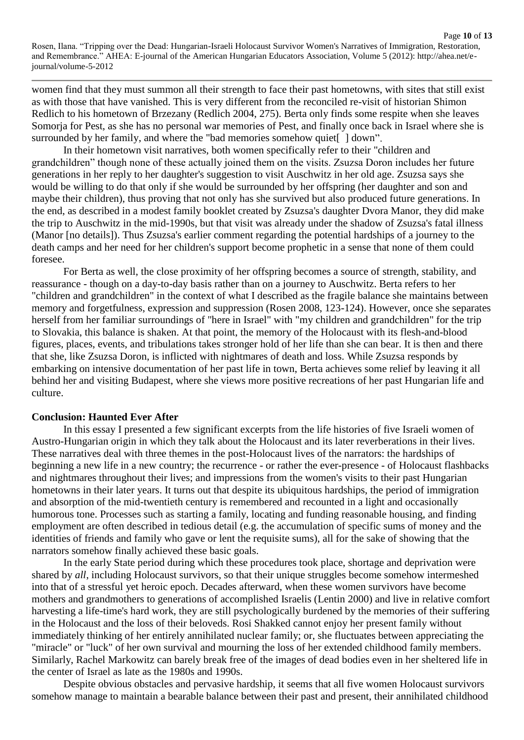Page **10** of **13**

women find that they must summon all their strength to face their past hometowns, with sites that still exist as with those that have vanished. This is very different from the reconciled re-visit of historian Shimon Redlich to his hometown of Brzezany (Redlich 2004, 275). Berta only finds some respite when she leaves Somorja for Pest, as she has no personal war memories of Pest, and finally once back in Israel where she is surrounded by her family, and where the "bad memories somehow quiet [ ] down".

In their hometown visit narratives, both women specifically refer to their "children and grandchildren" though none of these actually joined them on the visits. Zsuzsa Doron includes her future generations in her reply to her daughter's suggestion to visit Auschwitz in her old age. Zsuzsa says she would be willing to do that only if she would be surrounded by her offspring (her daughter and son and maybe their children), thus proving that not only has she survived but also produced future generations. In the end, as described in a modest family booklet created by Zsuzsa's daughter Dvora Manor, they did make the trip to Auschwitz in the mid-1990s, but that visit was already under the shadow of Zsuzsa's fatal illness (Manor [no details]). Thus Zsuzsa's earlier comment regarding the potential hardships of a journey to the death camps and her need for her children's support become prophetic in a sense that none of them could foresee.

For Berta as well, the close proximity of her offspring becomes a source of strength, stability, and reassurance - though on a day-to-day basis rather than on a journey to Auschwitz. Berta refers to her "children and grandchildren" in the context of what I described as the fragile balance she maintains between memory and forgetfulness, expression and suppression (Rosen 2008, 123-124). However, once she separates herself from her familiar surroundings of "here in Israel" with "my children and grandchildren" for the trip to Slovakia, this balance is shaken. At that point, the memory of the Holocaust with its flesh-and-blood figures, places, events, and tribulations takes stronger hold of her life than she can bear. It is then and there that she, like Zsuzsa Doron, is inflicted with nightmares of death and loss. While Zsuzsa responds by embarking on intensive documentation of her past life in town, Berta achieves some relief by leaving it all behind her and visiting Budapest, where she views more positive recreations of her past Hungarian life and culture.

### **Conclusion: Haunted Ever After**

In this essay I presented a few significant excerpts from the life histories of five Israeli women of Austro-Hungarian origin in which they talk about the Holocaust and its later reverberations in their lives. These narratives deal with three themes in the post-Holocaust lives of the narrators: the hardships of beginning a new life in a new country; the recurrence - or rather the ever-presence - of Holocaust flashbacks and nightmares throughout their lives; and impressions from the women's visits to their past Hungarian hometowns in their later years. It turns out that despite its ubiquitous hardships, the period of immigration and absorption of the mid-twentieth century is remembered and recounted in a light and occasionally humorous tone. Processes such as starting a family, locating and funding reasonable housing, and finding employment are often described in tedious detail (e.g. the accumulation of specific sums of money and the identities of friends and family who gave or lent the requisite sums), all for the sake of showing that the narrators somehow finally achieved these basic goals.

In the early State period during which these procedures took place, shortage and deprivation were shared by *all*, including Holocaust survivors, so that their unique struggles become somehow intermeshed into that of a stressful yet heroic epoch. Decades afterward, when these women survivors have become mothers and grandmothers to generations of accomplished Israelis (Lentin 2000) and live in relative comfort harvesting a life-time's hard work, they are still psychologically burdened by the memories of their suffering in the Holocaust and the loss of their beloveds. Rosi Shakked cannot enjoy her present family without immediately thinking of her entirely annihilated nuclear family; or, she fluctuates between appreciating the "miracle" or "luck" of her own survival and mourning the loss of her extended childhood family members. Similarly, Rachel Markowitz can barely break free of the images of dead bodies even in her sheltered life in the center of Israel as late as the 1980s and 1990s.

Despite obvious obstacles and pervasive hardship, it seems that all five women Holocaust survivors somehow manage to maintain a bearable balance between their past and present, their annihilated childhood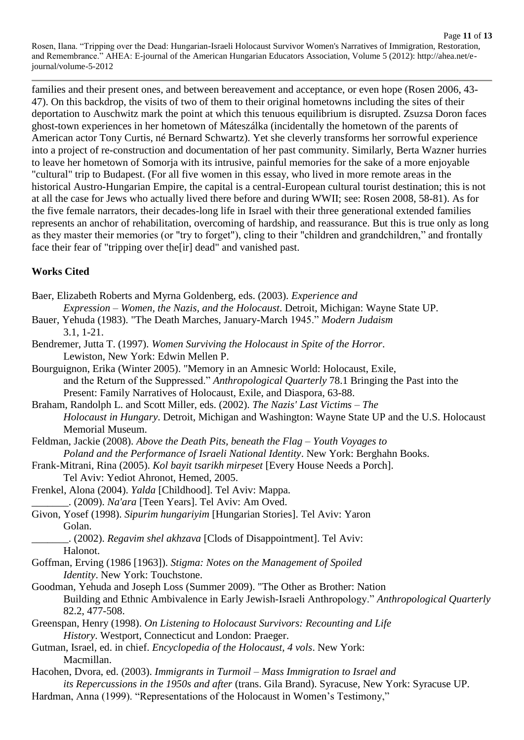families and their present ones, and between bereavement and acceptance, or even hope (Rosen 2006, 43- 47). On this backdrop, the visits of two of them to their original hometowns including the sites of their deportation to Auschwitz mark the point at which this tenuous equilibrium is disrupted. Zsuzsa Doron faces ghost-town experiences in her hometown of Máteszálka (incidentally the hometown of the parents of American actor Tony Curtis, né Bernard Schwartz). Yet she cleverly transforms her sorrowful experience into a project of re-construction and documentation of her past community. Similarly, Berta Wazner hurries to leave her hometown of Somorja with its intrusive, painful memories for the sake of a more enjoyable "cultural" trip to Budapest. (For all five women in this essay, who lived in more remote areas in the historical Austro-Hungarian Empire, the capital is a central-European cultural tourist destination; this is not at all the case for Jews who actually lived there before and during WWII; see: Rosen 2008, 58-81). As for the five female narrators, their decades-long life in Israel with their three generational extended families represents an anchor of rehabilitation, overcoming of hardship, and reassurance. But this is true only as long as they master their memories (or "try to forget"), cling to their "children and grandchildren," and frontally face their fear of "tripping over the[ir] dead" and vanished past.

# **Works Cited**

Baer, Elizabeth Roberts and Myrna Goldenberg, eds. (2003). *Experience and*

- *Expression – Women, the Nazis, and the Holocaust*. Detroit, Michigan: Wayne State UP.
- Bauer, Yehuda (1983). "The Death Marches, January-March 1945." *Modern Judaism* 3.1, 1-21.
- Bendremer, Jutta T. (1997). *Women Surviving the Holocaust in Spite of the Horror*. Lewiston, New York: Edwin Mellen P.
- Bourguignon, Erika (Winter 2005). "Memory in an Amnesic World: Holocaust, Exile, and the Return of the Suppressed." *Anthropological Quarterly* 78.1 Bringing the Past into the Present: Family Narratives of Holocaust, Exile, and Diaspora, 63-88.

Braham, Randolph L. and Scott Miller, eds. (2002). *The Nazis' Last Victims – The Holocaust in Hungary*. Detroit, Michigan and Washington: Wayne State UP and the U.S. Holocaust Memorial Museum.

Feldman, Jackie (2008). *Above the Death Pits, beneath the Flag – Youth Voyages to Poland and the Performance of Israeli National Identity*. New York: Berghahn Books.

Frank-Mitrani, Rina (2005). *Kol bayit tsarikh mirpeset* [Every House Needs a Porch]. Tel Aviv: Yediot Ahronot, Hemed, 2005.

Frenkel, Alona (2004). *Yalda* [Childhood]. Tel Aviv: Mappa.

\_\_\_\_\_\_\_. (2009). *Na'ara* [Teen Years]. Tel Aviv: Am Oved.

Givon, Yosef (1998). *Sipurim hungariyim* [Hungarian Stories]. Tel Aviv: Yaron Golan.

\_\_\_\_\_\_\_. (2002). *Regavim shel akhzava* [Clods of Disappointment]. Tel Aviv: Halonot.

- Goffman, Erving (1986 [1963]). *Stigma: Notes on the Management of Spoiled Identity*. New York: Touchstone.
- Goodman, Yehuda and Joseph Loss (Summer 2009). "The Other as Brother: Nation Building and Ethnic Ambivalence in Early Jewish-Israeli Anthropology." *Anthropological Quarterly* 82.2, 477-508.
- Greenspan, Henry (1998). *On Listening to Holocaust Survivors: Recounting and Life History*. Westport, Connecticut and London: Praeger.
- Gutman, Israel, ed. in chief. *Encyclopedia of the Holocaust, 4 vols*. New York: Macmillan.
- Hacohen, Dvora, ed. (2003). *Immigrants in Turmoil – Mass Immigration to Israel and its Repercussions in the 1950s and after* (trans. Gila Brand). Syracuse, New York: Syracuse UP.
- Hardman, Anna (1999). "Representations of the Holocaust in Women's Testimony,"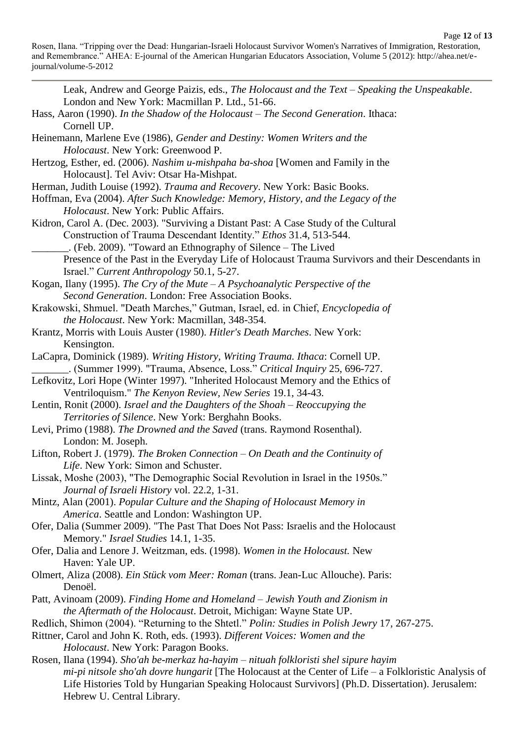Leak, Andrew and George Paizis, eds., *The Holocaust and the Text – Speaking the Unspeakable*. London and New York: Macmillan P. Ltd., 51-66.

- Hass, Aaron (1990). *In the Shadow of the Holocaust – The Second Generation*. Ithaca: Cornell UP.
- Heinemann, Marlene Eve (1986), *Gender and Destiny: Women Writers and the Holocaust*. New York: Greenwood P.
- Hertzog, Esther, ed. (2006). *Nashim u-mishpaha ba-shoa* [Women and Family in the Holocaust]. Tel Aviv: Otsar Ha-Mishpat.
- Herman, Judith Louise (1992). *Trauma and Recovery*. New York: Basic Books.
- Hoffman, Eva (2004). *After Such Knowledge: Memory, History, and the Legacy of the Holocaust*. New York: Public Affairs.
- Kidron, Carol A. (Dec. 2003). "Surviving a Distant Past: A Case Study of the Cultural Construction of Trauma Descendant Identity." *Ethos* 31.4, 513-544.
- \_\_\_\_\_\_\_. (Feb. 2009). "Toward an Ethnography of Silence The Lived Presence of the Past in the Everyday Life of Holocaust Trauma Survivors and their Descendants in Israel." *Current Anthropology* 50.1, 5-27.
- Kogan, Ilany (1995). *The Cry of the Mute – A Psychoanalytic Perspective of the Second Generation*. London: Free Association Books.
- Krakowski, Shmuel. "Death Marches," Gutman, Israel, ed. in Chief, *Encyclopedia of the Holocaust*. New York: Macmillan, 348-354.
- Krantz, Morris with Louis Auster (1980). *Hitler's Death Marches*. New York: Kensington.
- LaCapra, Dominick (1989). *Writing History, Writing Trauma. Ithaca*: Cornell UP. \_\_\_\_\_\_\_. (Summer 1999). "Trauma, Absence, Loss." *Critical Inquiry* 25, 696-727.
- Lefkovitz, Lori Hope (Winter 1997). "Inherited Holocaust Memory and the Ethics of Ventriloquism." *The Kenyon Review, New Series* 19.1, 34-43.
- Lentin, Ronit (2000). *Israel and the Daughters of the Shoah – Reoccupying the Territories of Silence*. New York: Berghahn Books.
- Levi, Primo (1988). *The Drowned and the Saved* (trans. Raymond Rosenthal). London: M. Joseph.
- Lifton, Robert J. (1979). *The Broken Connection – On Death and the Continuity of Life*. New York: Simon and Schuster.
- Lissak, Moshe (2003), "The Demographic Social Revolution in Israel in the 1950s." *Journal of Israeli History* vol. 22.2, 1-31.
- Mintz, Alan (2001). *Popular Culture and the Shaping of Holocaust Memory in America*. Seattle and London: Washington UP.
- Ofer, Dalia (Summer 2009). "The Past That Does Not Pass: Israelis and the Holocaust Memory." *Israel Studies* 14.1, 1-35.
- Ofer, Dalia and Lenore J. Weitzman, eds. (1998). *Women in the Holocaust.* New Haven: Yale UP.
- Olmert, Aliza (2008). *Ein Stück vom Meer: Roman* (trans. Jean-Luc Allouche). Paris: Denoël.
- Patt, Avinoam (2009). *Finding Home and Homeland – Jewish Youth and Zionism in the Aftermath of the Holocaust*. Detroit, Michigan: Wayne State UP.
- Redlich, Shimon (2004). "Returning to the Shtetl." *Polin: Studies in Polish Jewry* 17, 267-275.
- Rittner, Carol and John K. Roth, eds. (1993). *Different Voices: Women and the Holocaust*. New York: Paragon Books.
- Rosen, Ilana (1994). *Sho'ah be-merkaz ha-hayim – nituah folkloristi shel sipure hayim mi-pi nitsole sho'ah dovre hungarit* [The Holocaust at the Center of Life – a Folkloristic Analysis of Life Histories Told by Hungarian Speaking Holocaust Survivors] (Ph.D. Dissertation). Jerusalem: Hebrew U. Central Library.